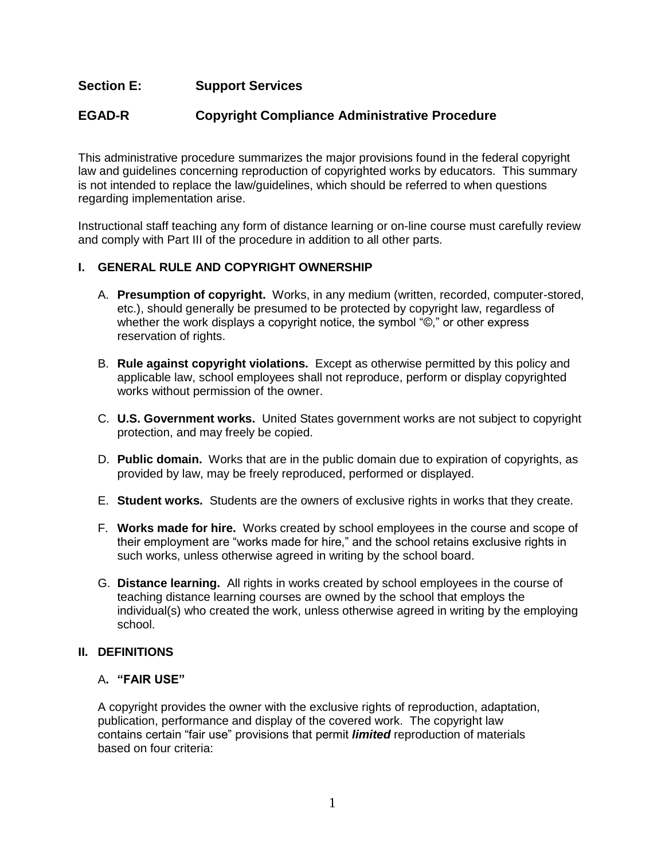# **Section E: Support Services**

# **EGAD-R Copyright Compliance Administrative Procedure**

This administrative procedure summarizes the major provisions found in the federal copyright law and guidelines concerning reproduction of copyrighted works by educators. This summary is not intended to replace the law/guidelines, which should be referred to when questions regarding implementation arise.

Instructional staff teaching any form of distance learning or on-line course must carefully review and comply with Part III of the procedure in addition to all other parts.

### **I. GENERAL RULE AND COPYRIGHT OWNERSHIP**

- A. **Presumption of copyright.** Works, in any medium (written, recorded, computer-stored, etc.), should generally be presumed to be protected by copyright law, regardless of whether the work displays a copyright notice, the symbol "©," or other express reservation of rights.
- B. **Rule against copyright violations.** Except as otherwise permitted by this policy and applicable law, school employees shall not reproduce, perform or display copyrighted works without permission of the owner.
- C. **U.S. Government works.** United States government works are not subject to copyright protection, and may freely be copied.
- D. **Public domain.** Works that are in the public domain due to expiration of copyrights, as provided by law, may be freely reproduced, performed or displayed.
- E. **Student works.** Students are the owners of exclusive rights in works that they create.
- F. **Works made for hire.** Works created by school employees in the course and scope of their employment are "works made for hire," and the school retains exclusive rights in such works, unless otherwise agreed in writing by the school board.
- G. **Distance learning.** All rights in works created by school employees in the course of teaching distance learning courses are owned by the school that employs the individual(s) who created the work, unless otherwise agreed in writing by the employing school.

#### **II. DEFINITIONS**

#### A**. "FAIR USE"**

A copyright provides the owner with the exclusive rights of reproduction, adaptation, publication, performance and display of the covered work. The copyright law contains certain "fair use" provisions that permit *limited* reproduction of materials based on four criteria: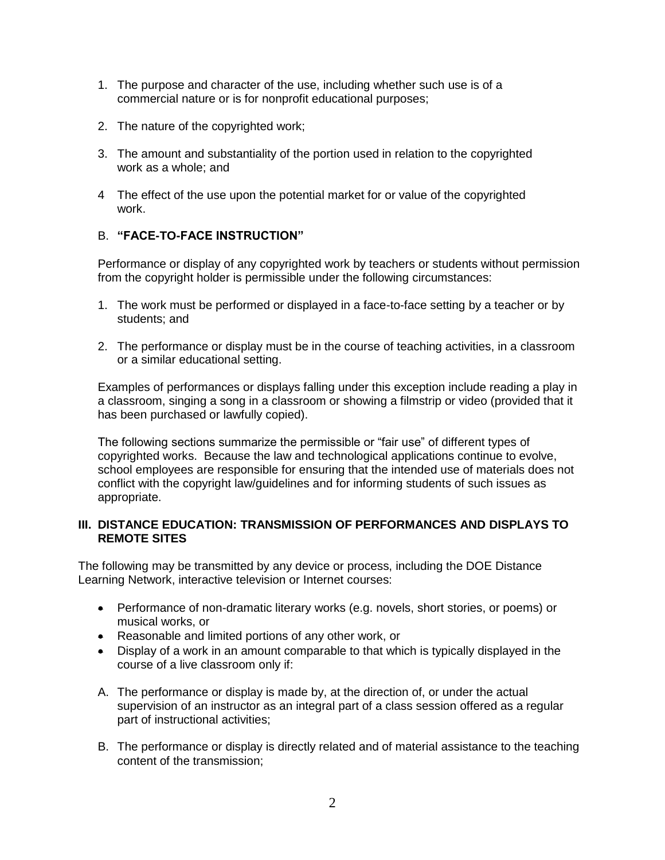- 1. The purpose and character of the use, including whether such use is of a commercial nature or is for nonprofit educational purposes;
- 2. The nature of the copyrighted work;
- 3. The amount and substantiality of the portion used in relation to the copyrighted work as a whole; and
- 4 The effect of the use upon the potential market for or value of the copyrighted work.

### B. **"FACE-TO-FACE INSTRUCTION"**

Performance or display of any copyrighted work by teachers or students without permission from the copyright holder is permissible under the following circumstances:

- 1. The work must be performed or displayed in a face-to-face setting by a teacher or by students; and
- 2. The performance or display must be in the course of teaching activities, in a classroom or a similar educational setting.

Examples of performances or displays falling under this exception include reading a play in a classroom, singing a song in a classroom or showing a filmstrip or video (provided that it has been purchased or lawfully copied).

The following sections summarize the permissible or "fair use" of different types of copyrighted works. Because the law and technological applications continue to evolve, school employees are responsible for ensuring that the intended use of materials does not conflict with the copyright law/guidelines and for informing students of such issues as appropriate.

#### **III. DISTANCE EDUCATION: TRANSMISSION OF PERFORMANCES AND DISPLAYS TO REMOTE SITES**

The following may be transmitted by any device or process, including the DOE Distance Learning Network, interactive television or Internet courses:

- Performance of non-dramatic literary works (e.g. novels, short stories, or poems) or musical works, or
- Reasonable and limited portions of any other work, or
- Display of a work in an amount comparable to that which is typically displayed in the course of a live classroom only if:
- A. The performance or display is made by, at the direction of, or under the actual supervision of an instructor as an integral part of a class session offered as a regular part of instructional activities;
- B. The performance or display is directly related and of material assistance to the teaching content of the transmission;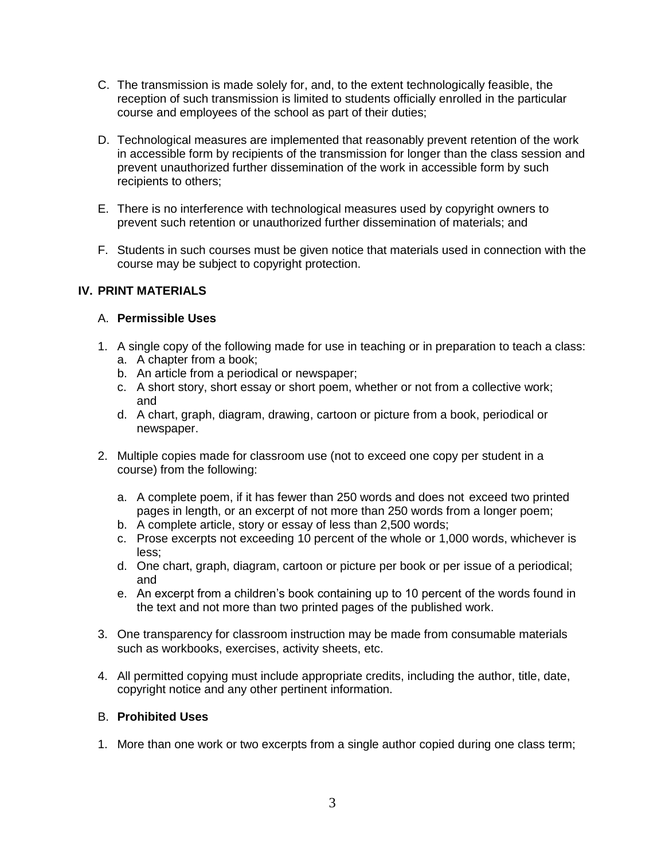- C. The transmission is made solely for, and, to the extent technologically feasible, the reception of such transmission is limited to students officially enrolled in the particular course and employees of the school as part of their duties;
- D. Technological measures are implemented that reasonably prevent retention of the work in accessible form by recipients of the transmission for longer than the class session and prevent unauthorized further dissemination of the work in accessible form by such recipients to others;
- E. There is no interference with technological measures used by copyright owners to prevent such retention or unauthorized further dissemination of materials; and
- F. Students in such courses must be given notice that materials used in connection with the course may be subject to copyright protection.

## **IV. PRINT MATERIALS**

### A. **Permissible Uses**

- 1. A single copy of the following made for use in teaching or in preparation to teach a class: a. A chapter from a book;
	-
	- b. An article from a periodical or newspaper;
	- c. A short story, short essay or short poem, whether or not from a collective work; and
	- d. A chart, graph, diagram, drawing, cartoon or picture from a book, periodical or newspaper.
- 2. Multiple copies made for classroom use (not to exceed one copy per student in a course) from the following:
	- a. A complete poem, if it has fewer than 250 words and does not exceed two printed pages in length, or an excerpt of not more than 250 words from a longer poem;
	- b. A complete article, story or essay of less than 2,500 words;
	- c. Prose excerpts not exceeding 10 percent of the whole or 1,000 words, whichever is less;
	- d. One chart, graph, diagram, cartoon or picture per book or per issue of a periodical; and
	- e. An excerpt from a children's book containing up to 10 percent of the words found in the text and not more than two printed pages of the published work.
- 3. One transparency for classroom instruction may be made from consumable materials such as workbooks, exercises, activity sheets, etc.
- 4. All permitted copying must include appropriate credits, including the author, title, date, copyright notice and any other pertinent information.

### B. **Prohibited Uses**

1. More than one work or two excerpts from a single author copied during one class term;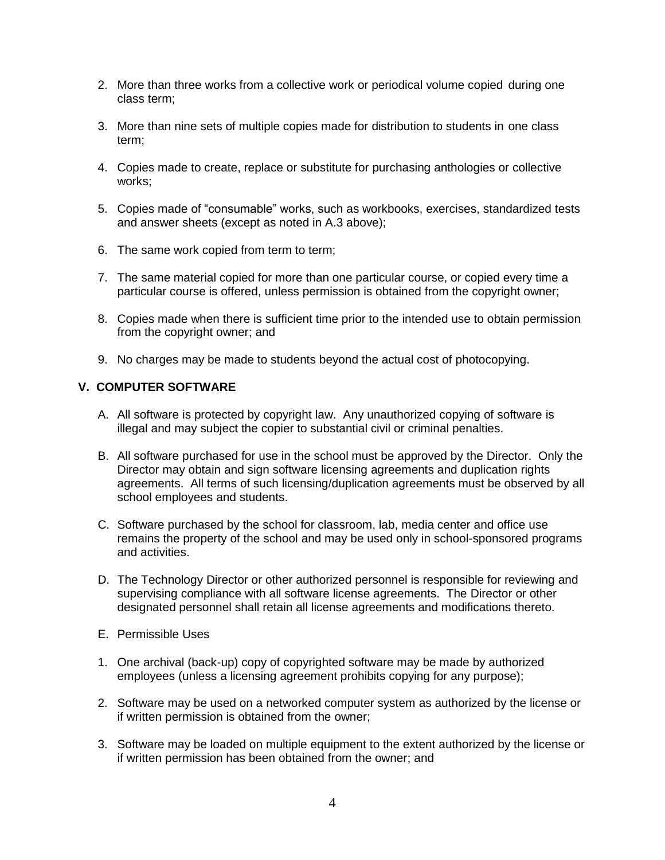- 2. More than three works from a collective work or periodical volume copied during one class term;
- 3. More than nine sets of multiple copies made for distribution to students in one class term;
- 4. Copies made to create, replace or substitute for purchasing anthologies or collective works;
- 5. Copies made of "consumable" works, such as workbooks, exercises, standardized tests and answer sheets (except as noted in A.3 above);
- 6. The same work copied from term to term;
- 7. The same material copied for more than one particular course, or copied every time a particular course is offered, unless permission is obtained from the copyright owner;
- 8. Copies made when there is sufficient time prior to the intended use to obtain permission from the copyright owner; and
- 9. No charges may be made to students beyond the actual cost of photocopying.

### **V. COMPUTER SOFTWARE**

- A. All software is protected by copyright law. Any unauthorized copying of software is illegal and may subject the copier to substantial civil or criminal penalties.
- B. All software purchased for use in the school must be approved by the Director. Only the Director may obtain and sign software licensing agreements and duplication rights agreements. All terms of such licensing/duplication agreements must be observed by all school employees and students.
- C. Software purchased by the school for classroom, lab, media center and office use remains the property of the school and may be used only in school-sponsored programs and activities.
- D. The Technology Director or other authorized personnel is responsible for reviewing and supervising compliance with all software license agreements. The Director or other designated personnel shall retain all license agreements and modifications thereto.
- E. Permissible Uses
- 1. One archival (back-up) copy of copyrighted software may be made by authorized employees (unless a licensing agreement prohibits copying for any purpose);
- 2. Software may be used on a networked computer system as authorized by the license or if written permission is obtained from the owner;
- 3. Software may be loaded on multiple equipment to the extent authorized by the license or if written permission has been obtained from the owner; and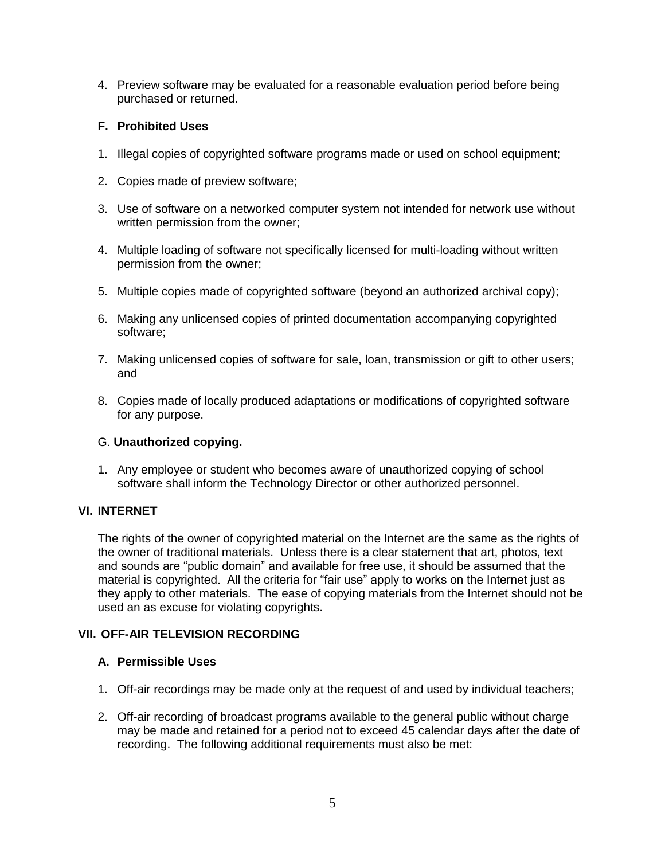4. Preview software may be evaluated for a reasonable evaluation period before being purchased or returned.

### **F. Prohibited Uses**

- 1. Illegal copies of copyrighted software programs made or used on school equipment;
- 2. Copies made of preview software;
- 3. Use of software on a networked computer system not intended for network use without written permission from the owner:
- 4. Multiple loading of software not specifically licensed for multi-loading without written permission from the owner;
- 5. Multiple copies made of copyrighted software (beyond an authorized archival copy);
- 6. Making any unlicensed copies of printed documentation accompanying copyrighted software;
- 7. Making unlicensed copies of software for sale, loan, transmission or gift to other users; and
- 8. Copies made of locally produced adaptations or modifications of copyrighted software for any purpose.

## G. **Unauthorized copying.**

1. Any employee or student who becomes aware of unauthorized copying of school software shall inform the Technology Director or other authorized personnel.

## **VI. INTERNET**

The rights of the owner of copyrighted material on the Internet are the same as the rights of the owner of traditional materials. Unless there is a clear statement that art, photos, text and sounds are "public domain" and available for free use, it should be assumed that the material is copyrighted. All the criteria for "fair use" apply to works on the Internet just as they apply to other materials. The ease of copying materials from the Internet should not be used an as excuse for violating copyrights.

## **VII. OFF-AIR TELEVISION RECORDING**

## **A. Permissible Uses**

- 1. Off-air recordings may be made only at the request of and used by individual teachers;
- 2. Off-air recording of broadcast programs available to the general public without charge may be made and retained for a period not to exceed 45 calendar days after the date of recording. The following additional requirements must also be met: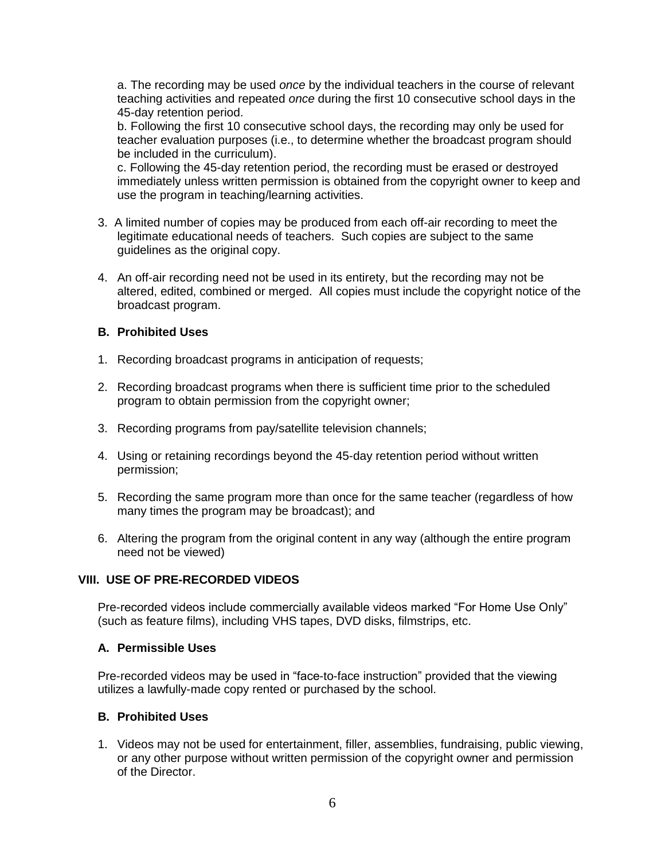a. The recording may be used *once* by the individual teachers in the course of relevant teaching activities and repeated *once* during the first 10 consecutive school days in the 45-day retention period.

b. Following the first 10 consecutive school days, the recording may only be used for teacher evaluation purposes (i.e., to determine whether the broadcast program should be included in the curriculum).

c. Following the 45-day retention period, the recording must be erased or destroyed immediately unless written permission is obtained from the copyright owner to keep and use the program in teaching/learning activities.

- 3. A limited number of copies may be produced from each off-air recording to meet the legitimate educational needs of teachers. Such copies are subject to the same guidelines as the original copy.
- 4. An off-air recording need not be used in its entirety, but the recording may not be altered, edited, combined or merged. All copies must include the copyright notice of the broadcast program.

### **B. Prohibited Uses**

- 1. Recording broadcast programs in anticipation of requests;
- 2. Recording broadcast programs when there is sufficient time prior to the scheduled program to obtain permission from the copyright owner;
- 3. Recording programs from pay/satellite television channels;
- 4. Using or retaining recordings beyond the 45-day retention period without written permission;
- 5. Recording the same program more than once for the same teacher (regardless of how many times the program may be broadcast); and
- 6. Altering the program from the original content in any way (although the entire program need not be viewed)

## **VIII. USE OF PRE-RECORDED VIDEOS**

Pre-recorded videos include commercially available videos marked "For Home Use Only" (such as feature films), including VHS tapes, DVD disks, filmstrips, etc.

### **A. Permissible Uses**

Pre-recorded videos may be used in "face-to-face instruction" provided that the viewing utilizes a lawfully-made copy rented or purchased by the school.

## **B. Prohibited Uses**

1. Videos may not be used for entertainment, filler, assemblies, fundraising, public viewing, or any other purpose without written permission of the copyright owner and permission of the Director.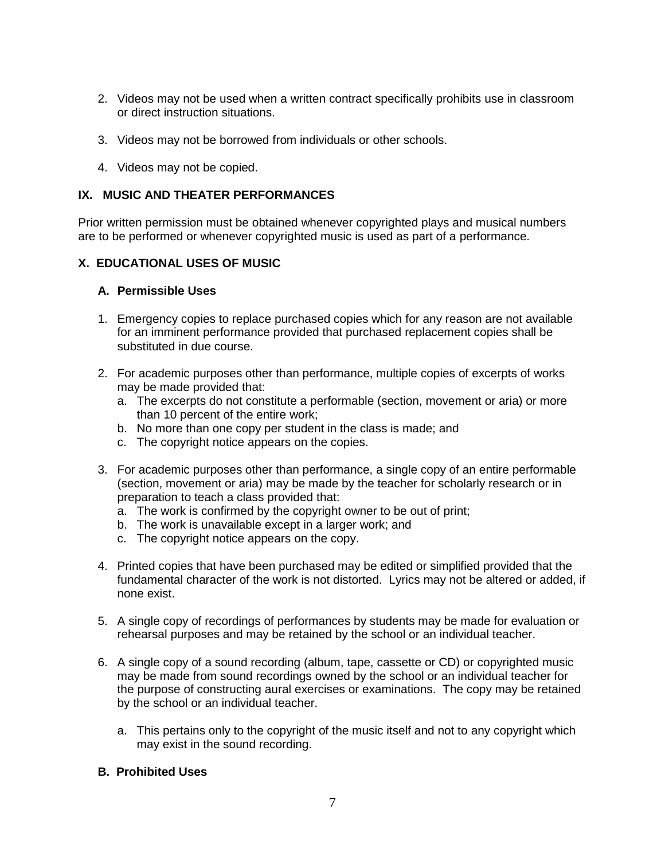- 2. Videos may not be used when a written contract specifically prohibits use in classroom or direct instruction situations.
- 3. Videos may not be borrowed from individuals or other schools.
- 4. Videos may not be copied.

#### **IX. MUSIC AND THEATER PERFORMANCES**

Prior written permission must be obtained whenever copyrighted plays and musical numbers are to be performed or whenever copyrighted music is used as part of a performance.

#### **X. EDUCATIONAL USES OF MUSIC**

#### **A. Permissible Uses**

- 1. Emergency copies to replace purchased copies which for any reason are not available for an imminent performance provided that purchased replacement copies shall be substituted in due course.
- 2. For academic purposes other than performance, multiple copies of excerpts of works may be made provided that:
	- a. The excerpts do not constitute a performable (section, movement or aria) or more than 10 percent of the entire work;
	- b. No more than one copy per student in the class is made; and
	- c. The copyright notice appears on the copies.
- 3. For academic purposes other than performance, a single copy of an entire performable (section, movement or aria) may be made by the teacher for scholarly research or in preparation to teach a class provided that:
	- a. The work is confirmed by the copyright owner to be out of print;
	- b. The work is unavailable except in a larger work; and
	- c. The copyright notice appears on the copy.
- 4. Printed copies that have been purchased may be edited or simplified provided that the fundamental character of the work is not distorted. Lyrics may not be altered or added, if none exist.
- 5. A single copy of recordings of performances by students may be made for evaluation or rehearsal purposes and may be retained by the school or an individual teacher.
- 6. A single copy of a sound recording (album, tape, cassette or CD) or copyrighted music may be made from sound recordings owned by the school or an individual teacher for the purpose of constructing aural exercises or examinations. The copy may be retained by the school or an individual teacher.
	- a. This pertains only to the copyright of the music itself and not to any copyright which may exist in the sound recording.

#### **B. Prohibited Uses**